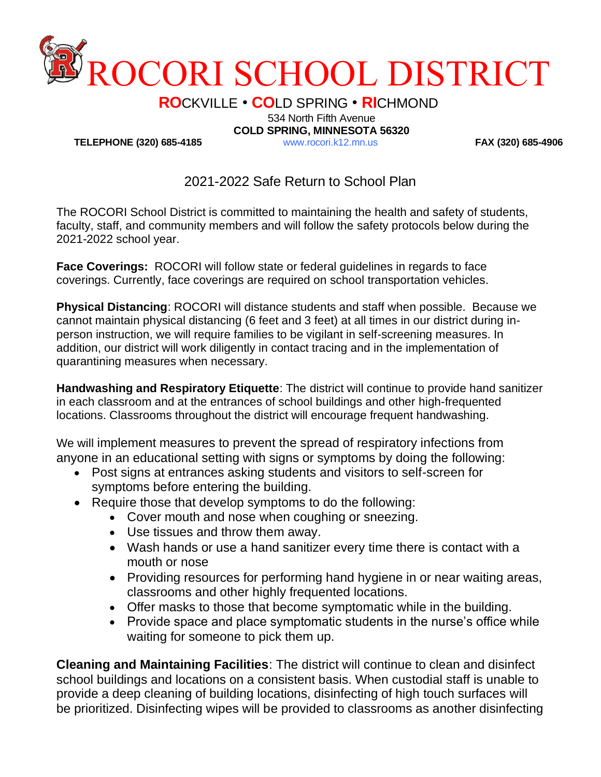

**RO**CKVILLE • **CO**LD SPRING • **RI**CHMOND

534 North Fifth Avenue

**TELEPHONE (320) 685-4185** www.rocori.k12.mn.us **FAX (320) 685-4906**

**COLD SPRING, MINNESOTA 56320**

## 2021-2022 Safe Return to School Plan

The ROCORI School District is committed to maintaining the health and safety of students, faculty, staff, and community members and will follow the safety protocols below during the 2021-2022 school year.

**Face Coverings:** ROCORI will follow state or federal guidelines in regards to face coverings. Currently, face coverings are required on school transportation vehicles.

**Physical Distancing**: ROCORI will distance students and staff when possible. Because we cannot maintain physical distancing (6 feet and 3 feet) at all times in our district during inperson instruction, we will require families to be vigilant in self-screening measures. In addition, our district will work diligently in contact tracing and in the implementation of quarantining measures when necessary.

**Handwashing and Respiratory Etiquette**: The district will continue to provide hand sanitizer in each classroom and at the entrances of school buildings and other high-frequented locations. Classrooms throughout the district will encourage frequent handwashing.

We will implement measures to prevent the spread of respiratory infections from anyone in an educational setting with signs or symptoms by doing the following:

- Post signs at entrances asking students and visitors to self-screen for symptoms before entering the building.
- Require those that develop symptoms to do the following:
	- Cover mouth and nose when coughing or sneezing.
	- Use tissues and throw them away.
	- Wash hands or use a hand sanitizer every time there is contact with a mouth or nose
	- Providing resources for performing hand hygiene in or near waiting areas, classrooms and other highly frequented locations.
	- Offer masks to those that become symptomatic while in the building.
	- Provide space and place symptomatic students in the nurse's office while waiting for someone to pick them up.

**Cleaning and Maintaining Facilities**: The district will continue to clean and disinfect school buildings and locations on a consistent basis. When custodial staff is unable to provide a deep cleaning of building locations, disinfecting of high touch surfaces will be prioritized. Disinfecting wipes will be provided to classrooms as another disinfecting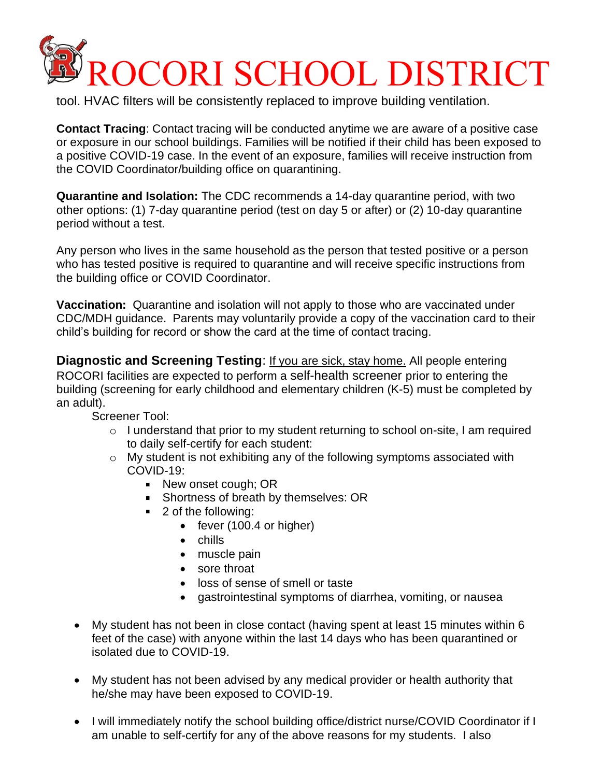## ROCORI SCHOOL DISTRICT

tool. HVAC filters will be consistently replaced to improve building ventilation.

**Contact Tracing**: Contact tracing will be conducted anytime we are aware of a positive case or exposure in our school buildings. Families will be notified if their child has been exposed to a positive COVID-19 case. In the event of an exposure, families will receive instruction from the COVID Coordinator/building office on quarantining.

**Quarantine and Isolation:** The CDC recommends a 14-day quarantine period, with two other options: (1) 7-day quarantine period (test on day 5 or after) or (2) 10-day quarantine period without a test.

Any person who lives in the same household as the person that tested positive or a person who has tested positive is required to quarantine and will receive specific instructions from the building office or COVID Coordinator.

**Vaccination:** Quarantine and isolation will not apply to those who are vaccinated under CDC/MDH guidance. Parents may voluntarily provide a copy of the vaccination card to their child's building for record or show the card at the time of contact tracing.

**Diagnostic and Screening Testing: If you are sick, stay home. All people entering** ROCORI facilities are expected to perform a self-health screener prior to entering the building (screening for early childhood and elementary children (K-5) must be completed by an adult).

Screener Tool:

- $\circ$  I understand that prior to my student returning to school on-site, I am required to daily self-certify for each student:
- $\circ$  My student is not exhibiting any of the following symptoms associated with COVID-19:
	- New onset cough; OR
	- **Shortness of breath by themselves: OR**
	- 2 of the following:
		- fever (100.4 or higher)
		- chills
		- muscle pain
		- sore throat
		- loss of sense of smell or taste
		- gastrointestinal symptoms of diarrhea, vomiting, or nausea
- My student has not been in close contact (having spent at least 15 minutes within 6 feet of the case) with anyone within the last 14 days who has been quarantined or isolated due to COVID-19.
- My student has not been advised by any medical provider or health authority that he/she may have been exposed to COVID-19.
- I will immediately notify the school building office/district nurse/COVID Coordinator if I am unable to self-certify for any of the above reasons for my students. I also